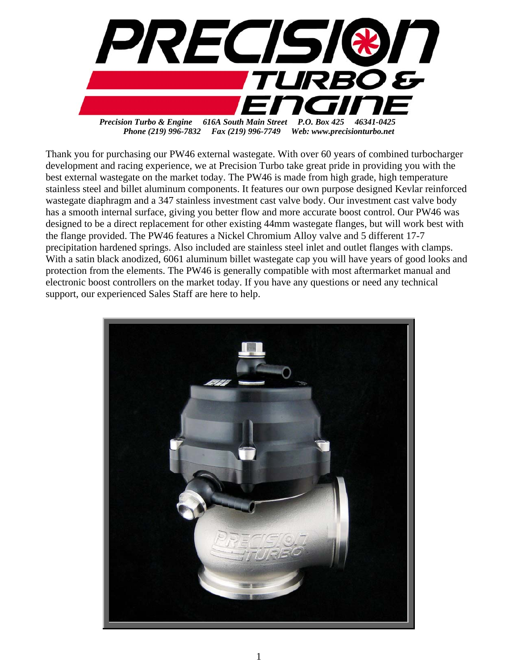

Thank you for purchasing our PW46 external wastegate. With over 60 years of combined turbocharger development and racing experience, we at Precision Turbo take great pride in providing you with the best external wastegate on the market today. The PW46 is made from high grade, high temperature stainless steel and billet aluminum components. It features our own purpose designed Kevlar reinforced wastegate diaphragm and a 347 stainless investment cast valve body. Our investment cast valve body has a smooth internal surface, giving you better flow and more accurate boost control. Our PW46 was designed to be a direct replacement for other existing 44mm wastegate flanges, but will work best with the flange provided. The PW46 features a Nickel Chromium Alloy valve and 5 different 17-7 precipitation hardened springs. Also included are stainless steel inlet and outlet flanges with clamps. With a satin black anodized, 6061 aluminum billet wastegate cap you will have years of good looks and protection from the elements. The PW46 is generally compatible with most aftermarket manual and electronic boost controllers on the market today. If you have any questions or need any technical support, our experienced Sales Staff are here to help.

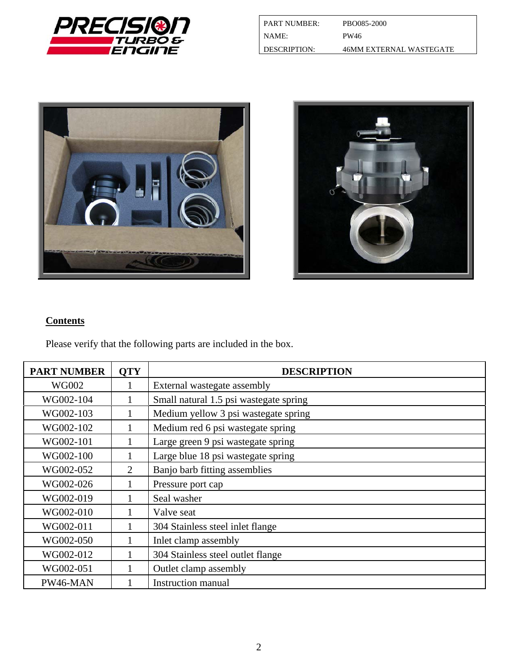

| <b>PART NUMBER:</b>   | PBO085-2000                    |
|-----------------------|--------------------------------|
| I NAME:               | PW46                           |
| <b>I DESCRIPTION:</b> | <b>46MM EXTERNAL WASTEGATE</b> |





# **Contents**

Please verify that the following parts are included in the box.

| <b>PART NUMBER</b> | <b>QTY</b>     | <b>DESCRIPTION</b>                     |
|--------------------|----------------|----------------------------------------|
| <b>WG002</b>       |                | External wastegate assembly            |
| WG002-104          |                | Small natural 1.5 psi wastegate spring |
| WG002-103          |                | Medium yellow 3 psi wastegate spring   |
| WG002-102          |                | Medium red 6 psi wastegate spring      |
| WG002-101          | 1              | Large green 9 psi wastegate spring     |
| WG002-100          |                | Large blue 18 psi wastegate spring     |
| WG002-052          | $\overline{2}$ | Banjo barb fitting assemblies          |
| WG002-026          |                | Pressure port cap                      |
| WG002-019          |                | Seal washer                            |
| WG002-010          |                | Valve seat                             |
| WG002-011          |                | 304 Stainless steel inlet flange       |
| WG002-050          |                | Inlet clamp assembly                   |
| WG002-012          |                | 304 Stainless steel outlet flange      |
| WG002-051          |                | Outlet clamp assembly                  |
| PW46-MAN           |                | <b>Instruction manual</b>              |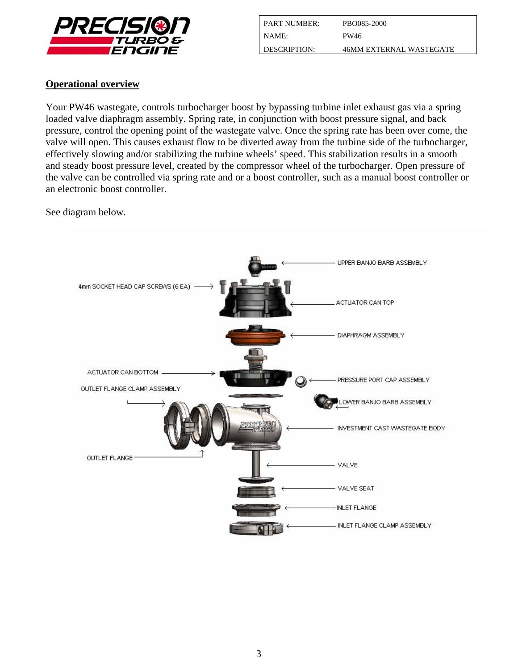

| <b>PART NUMBER:</b> | PBO085-2000             |
|---------------------|-------------------------|
| NAME:               | PW46                    |
| DESCRIPTION:        | 46MM EXTERNAL WASTEGATE |

#### **Operational overview**

Your PW46 wastegate, controls turbocharger boost by bypassing turbine inlet exhaust gas via a spring loaded valve diaphragm assembly. Spring rate, in conjunction with boost pressure signal, and back pressure, control the opening point of the wastegate valve. Once the spring rate has been over come, the valve will open. This causes exhaust flow to be diverted away from the turbine side of the turbocharger, effectively slowing and/or stabilizing the turbine wheels' speed. This stabilization results in a smooth and steady boost pressure level, created by the compressor wheel of the turbocharger. Open pressure of the valve can be controlled via spring rate and or a boost controller, such as a manual boost controller or an electronic boost controller.

See diagram below.

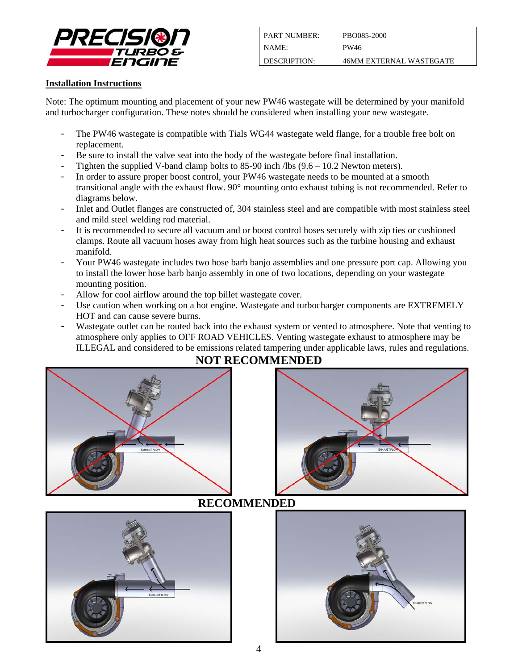

| <b>PART NUMBER:</b> | PBO085-2000             |
|---------------------|-------------------------|
| NAME:               | PW46                    |
| DESCRIPTION:        | 46MM EXTERNAL WASTEGATE |

#### **Installation Instructions**

Note: The optimum mounting and placement of your new PW46 wastegate will be determined by your manifold and turbocharger configuration. These notes should be considered when installing your new wastegate.

- The PW46 wastegate is compatible with Tials WG44 wastegate weld flange, for a trouble free bolt on replacement.
- Be sure to install the valve seat into the body of the wastegate before final installation.
- Tighten the supplied V-band clamp bolts to 85-90 inch /lbs  $(9.6 10.2$  Newton meters).
- In order to assure proper boost control, your PW46 wastegate needs to be mounted at a smooth transitional angle with the exhaust flow. 90° mounting onto exhaust tubing is not recommended. Refer to diagrams below.
- Inlet and Outlet flanges are constructed of, 304 stainless steel and are compatible with most stainless steel and mild steel welding rod material.
- It is recommended to secure all vacuum and or boost control hoses securely with zip ties or cushioned clamps. Route all vacuum hoses away from high heat sources such as the turbine housing and exhaust manifold.
- Your PW46 wastegate includes two hose barb banjo assemblies and one pressure port cap. Allowing you to install the lower hose barb banjo assembly in one of two locations, depending on your wastegate mounting position.
- Allow for cool airflow around the top billet wastegate cover.
- Use caution when working on a hot engine. Wastegate and turbocharger components are EXTREMELY HOT and can cause severe burns.
- Wastegate outlet can be routed back into the exhaust system or vented to atmosphere. Note that venting to atmosphere only applies to OFF ROAD VEHICLES. Venting wastegate exhaust to atmosphere may be ILLEGAL and considered to be emissions related tampering under applicable laws, rules and regulations.



# **NOT RECOMMENDED**



# **RECOMMENDED**



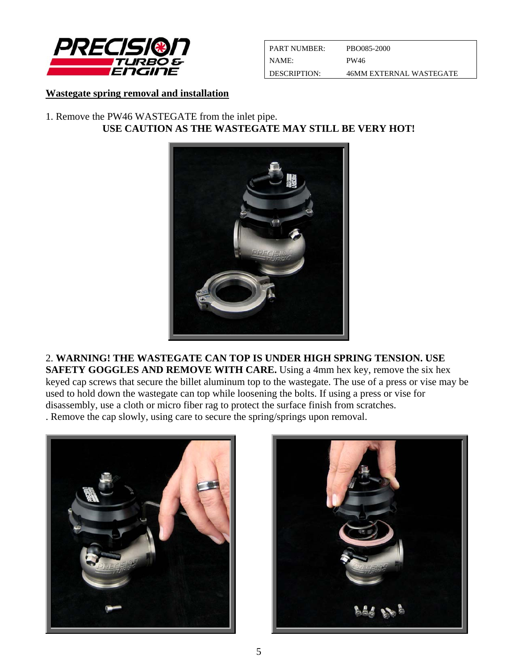

| <b>PART NUMBER:</b>   | PBO085-2000             |
|-----------------------|-------------------------|
| I NAME:               | PW46                    |
| <b>I DESCRIPTION:</b> | 46MM EXTERNAL WASTEGATE |

#### **Wastegate spring removal and installation**

## 1. Remove the PW46 WASTEGATE from the inlet pipe. **USE CAUTION AS THE WASTEGATE MAY STILL BE VERY HOT!**



2. **WARNING! THE WASTEGATE CAN TOP IS UNDER HIGH SPRING TENSION. USE SAFETY GOGGLES AND REMOVE WITH CARE.** Using a 4mm hex key, remove the six hex keyed cap screws that secure the billet aluminum top to the wastegate. The use of a press or vise may be used to hold down the wastegate can top while loosening the bolts. If using a press or vise for disassembly, use a cloth or micro fiber rag to protect the surface finish from scratches. . Remove the cap slowly, using care to secure the spring/springs upon removal.



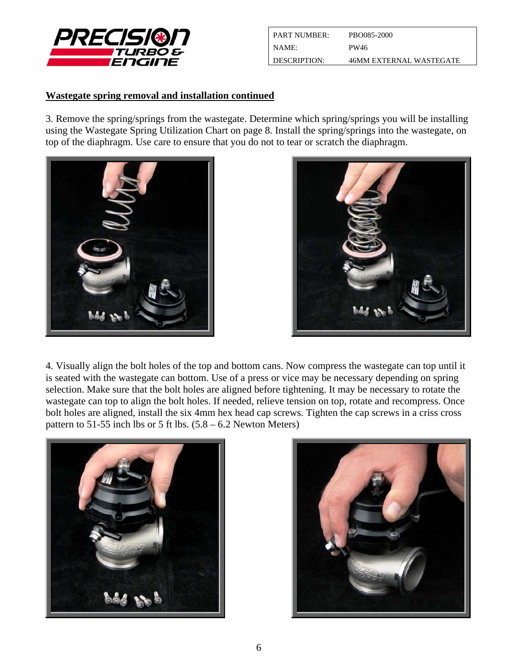

| <b>PART NUMBER:</b> | PBO085-2000             |
|---------------------|-------------------------|
| NAME:               | PW46                    |
| DESCRIPTION:        | 46MM EXTERNAL WASTEGATE |

#### **Wastegate spring removal and installation continued**

3. Remove the spring/springs from the wastegate. Determine which spring/springs you will be installing using the Wastegate Spring Utilization Chart on page 8. Install the spring/springs into the wastegate, on top of the diaphragm. Use care to ensure that you do not to tear or scratch the diaphragm.





4. Visually align the bolt holes of the top and bottom cans. Now compress the wastegate can top until it is seated with the wastegate can bottom. Use of a press or vice may be necessary depending on spring selection. Make sure that the bolt holes are aligned before tightening. It may be necessary to rotate the wastegate can top to align the bolt holes. If needed, relieve tension on top, rotate and recompress. Once bolt holes are aligned, install the six 4mm hex head cap screws. Tighten the cap screws in a criss cross pattern to 51-55 inch lbs or 5 ft lbs.  $(5.8 - 6.2$  Newton Meters)



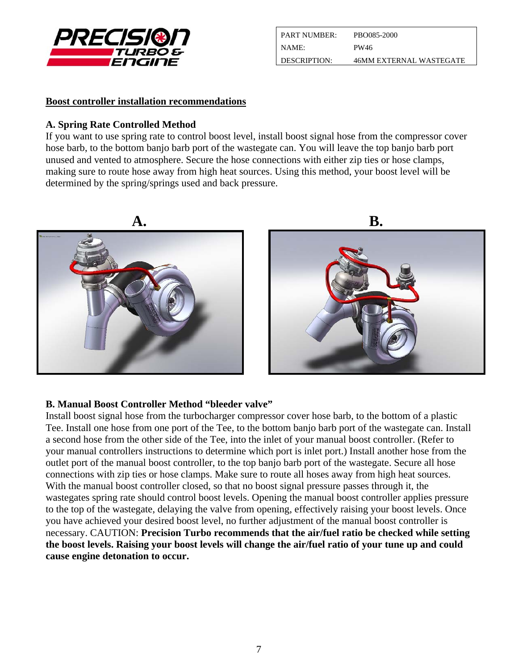

| <b>PART NUMBER:</b> | PBO085-2000             |
|---------------------|-------------------------|
| NAME:               | PW46                    |
| DESCRIPTION:        | 46MM EXTERNAL WASTEGATE |

#### **Boost controller installation recommendations**

#### **A. Spring Rate Controlled Method**

If you want to use spring rate to control boost level, install boost signal hose from the compressor cover hose barb, to the bottom banjo barb port of the wastegate can. You will leave the top banjo barb port unused and vented to atmosphere. Secure the hose connections with either zip ties or hose clamps, making sure to route hose away from high heat sources. Using this method, your boost level will be determined by the spring/springs used and back pressure.



#### **B. Manual Boost Controller Method "bleeder valve"**

Install boost signal hose from the turbocharger compressor cover hose barb, to the bottom of a plastic Tee. Install one hose from one port of the Tee, to the bottom banjo barb port of the wastegate can. Install a second hose from the other side of the Tee, into the inlet of your manual boost controller. (Refer to your manual controllers instructions to determine which port is inlet port.) Install another hose from the outlet port of the manual boost controller, to the top banjo barb port of the wastegate. Secure all hose connections with zip ties or hose clamps. Make sure to route all hoses away from high heat sources. With the manual boost controller closed, so that no boost signal pressure passes through it, the wastegates spring rate should control boost levels. Opening the manual boost controller applies pressure to the top of the wastegate, delaying the valve from opening, effectively raising your boost levels. Once you have achieved your desired boost level, no further adjustment of the manual boost controller is necessary. CAUTION: **Precision Turbo recommends that the air/fuel ratio be checked while setting the boost levels. Raising your boost levels will change the air/fuel ratio of your tune up and could cause engine detonation to occur.**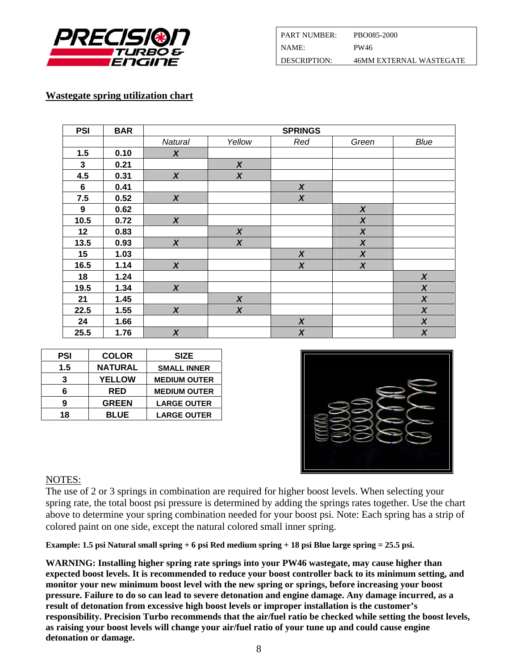

| l PART NUMBER: .      | PBO085-2000                    |
|-----------------------|--------------------------------|
| NAME                  | PW46                           |
| <b>I DESCRIPTION:</b> | <b>46MM EXTERNAL WASTEGATE</b> |

## **Wastegate spring utilization chart**

| <b>PSI</b> | <b>BAR</b> |                  |                  | <b>SPRINGS</b>   |                  |                  |
|------------|------------|------------------|------------------|------------------|------------------|------------------|
|            |            | Natural          | Yellow           | Red              | Green            | Blue             |
| 1.5        | 0.10       | $\boldsymbol{X}$ |                  |                  |                  |                  |
| 3          | 0.21       |                  | $\boldsymbol{x}$ |                  |                  |                  |
| 4.5        | 0.31       | $\boldsymbol{X}$ | $\boldsymbol{x}$ |                  |                  |                  |
| 6          | 0.41       |                  |                  | $\boldsymbol{x}$ |                  |                  |
| 7.5        | 0.52       | $\boldsymbol{X}$ |                  | $\boldsymbol{x}$ |                  |                  |
| 9          | 0.62       |                  |                  |                  | $\boldsymbol{X}$ |                  |
| 10.5       | 0.72       | $\boldsymbol{X}$ |                  |                  | $\boldsymbol{x}$ |                  |
| 12         | 0.83       |                  | $\boldsymbol{X}$ |                  | $\boldsymbol{X}$ |                  |
| 13.5       | 0.93       | $\boldsymbol{X}$ | $\boldsymbol{x}$ |                  | $\boldsymbol{X}$ |                  |
| 15         | 1.03       |                  |                  | $\boldsymbol{x}$ | $\boldsymbol{x}$ |                  |
| 16.5       | 1.14       | $\boldsymbol{X}$ |                  | $\boldsymbol{x}$ | $\boldsymbol{x}$ |                  |
| 18         | 1.24       |                  |                  |                  |                  | $\boldsymbol{x}$ |
| 19.5       | 1.34       | $\boldsymbol{x}$ |                  |                  |                  | $\boldsymbol{X}$ |
| 21         | 1.45       |                  | $\boldsymbol{X}$ |                  |                  | $\boldsymbol{x}$ |
| 22.5       | 1.55       | $\boldsymbol{X}$ | $\boldsymbol{X}$ |                  |                  | $\boldsymbol{X}$ |
| 24         | 1.66       |                  |                  | $\boldsymbol{X}$ |                  | $\boldsymbol{X}$ |
| 25.5       | 1.76       | $\boldsymbol{X}$ |                  | $\boldsymbol{x}$ |                  | $\boldsymbol{X}$ |

| <b>PSI</b> | <b>COLOR</b>   | <b>SIZE</b>         |
|------------|----------------|---------------------|
| 1.5        | <b>NATURAL</b> | <b>SMALL INNER</b>  |
| 3          | <b>YELLOW</b>  | <b>MEDIUM OUTER</b> |
| 6          | <b>RED</b>     | <b>MEDIUM OUTER</b> |
| 9          | <b>GREEN</b>   | <b>LARGE OUTER</b>  |
| 18         | <b>BLUE</b>    | <b>LARGE OUTER</b>  |



# NOTES:

The use of 2 or 3 springs in combination are required for higher boost levels. When selecting your spring rate, the total boost psi pressure is determined by adding the springs rates together. Use the chart above to determine your spring combination needed for your boost psi. Note: Each spring has a strip of colored paint on one side, except the natural colored small inner spring.

**Example: 1.5 psi Natural small spring + 6 psi Red medium spring + 18 psi Blue large spring = 25.5 psi.** 

**WARNING: Installing higher spring rate springs into your PW46 wastegate, may cause higher than expected boost levels. It is recommended to reduce your boost controller back to its minimum setting, and monitor your new minimum boost level with the new spring or springs, before increasing your boost pressure. Failure to do so can lead to severe detonation and engine damage. Any damage incurred, as a result of detonation from excessive high boost levels or improper installation is the customer's responsibility. Precision Turbo recommends that the air/fuel ratio be checked while setting the boost levels, as raising your boost levels will change your air/fuel ratio of your tune up and could cause engine detonation or damage.**